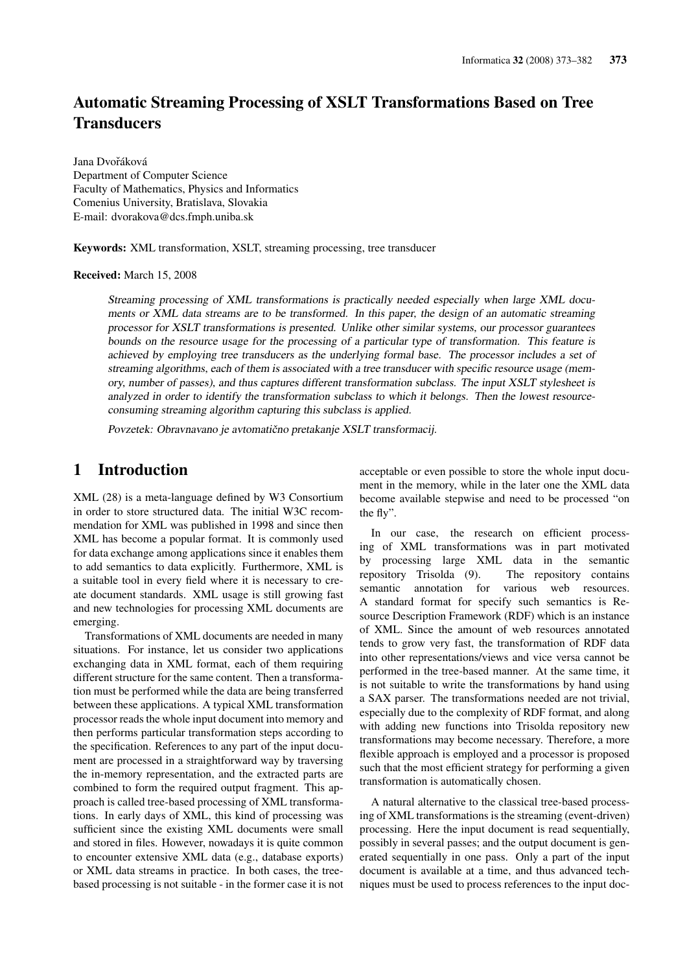# **Automatic Streaming Processing of XSLT Transformations Based on Tree Transducers**

Jana Dvořáková Department of Computer Science Faculty of Mathematics, Physics and Informatics Comenius University, Bratislava, Slovakia E-mail: dvorakova@dcs.fmph.uniba.sk

Keywords: XML transformation, XSLT, streaming processing, tree transducer

Received: March 15, 2008

Streaming processing of XML transformations is practically needed especially when large XML documents or XML data streams are to be transformed. In this paper, the design of an automatic streaming processor for XSLT transformations is presented. Unlike other similar systems, our processor guarantees bounds on the resource usage for the processing of a particular type of transformation. This feature is achieved by employing tree transducers as the underlying formal base. The processor includes a set of streaming algorithms, each of them is associated with a tree transducer with specific resource usage (memory, number of passes), and thus captures different transformation subclass. The input XSLT stylesheet is analyzed in order to identify the transformation subclass to which it belongs. Then the lowest resourceconsuming streaming algorithm capturing this subclass is applied.

Povzetek: Obravnavano je avtomatično pretakanje XSLT transformacij.

#### **Introduction**  $\mathbf 1$

XML (28) is a meta-language defined by W3 Consortium in order to store structured data. The initial W3C recommendation for XML was published in 1998 and since then XML has become a popular format. It is commonly used for data exchange among applications since it enables them to add semantics to data explicitly. Furthermore, XML is a suitable tool in every field where it is necessary to create document standards. XML usage is still growing fast and new technologies for processing XML documents are emerging.

Transformations of XML documents are needed in many situations. For instance, let us consider two applications exchanging data in XML format, each of them requiring different structure for the same content. Then a transformation must be performed while the data are being transferred between these applications. A typical XML transformation processor reads the whole input document into memory and then performs particular transformation steps according to the specification. References to any part of the input document are processed in a straightforward way by traversing the in-memory representation, and the extracted parts are combined to form the required output fragment. This approach is called tree-based processing of XML transformations. In early days of XML, this kind of processing was sufficient since the existing XML documents were small and stored in files. However, nowadays it is quite common to encounter extensive XML data (e.g., database exports) or XML data streams in practice. In both cases, the treebased processing is not suitable - in the former case it is not acceptable or even possible to store the whole input document in the memory, while in the later one the XML data become available stepwise and need to be processed "on the fly".

In our case, the research on efficient processing of XML transformations was in part motivated by processing large XML data in the semantic repository Trisolda (9). The repository contains semantic annotation for various web resources. A standard format for specify such semantics is Resource Description Framework (RDF) which is an instance of XML. Since the amount of web resources annotated tends to grow very fast, the transformation of RDF data into other representations/views and vice versa cannot be performed in the tree-based manner. At the same time, it is not suitable to write the transformations by hand using a SAX parser. The transformations needed are not trivial, especially due to the complexity of RDF format, and along with adding new functions into Trisolda repository new transformations may become necessary. Therefore, a more flexible approach is employed and a processor is proposed such that the most efficient strategy for performing a given transformation is automatically chosen.

A natural alternative to the classical tree-based processing of XML transformations is the streaming (event-driven) processing. Here the input document is read sequentially, possibly in several passes; and the output document is generated sequentially in one pass. Only a part of the input document is available at a time, and thus advanced techniques must be used to process references to the input doc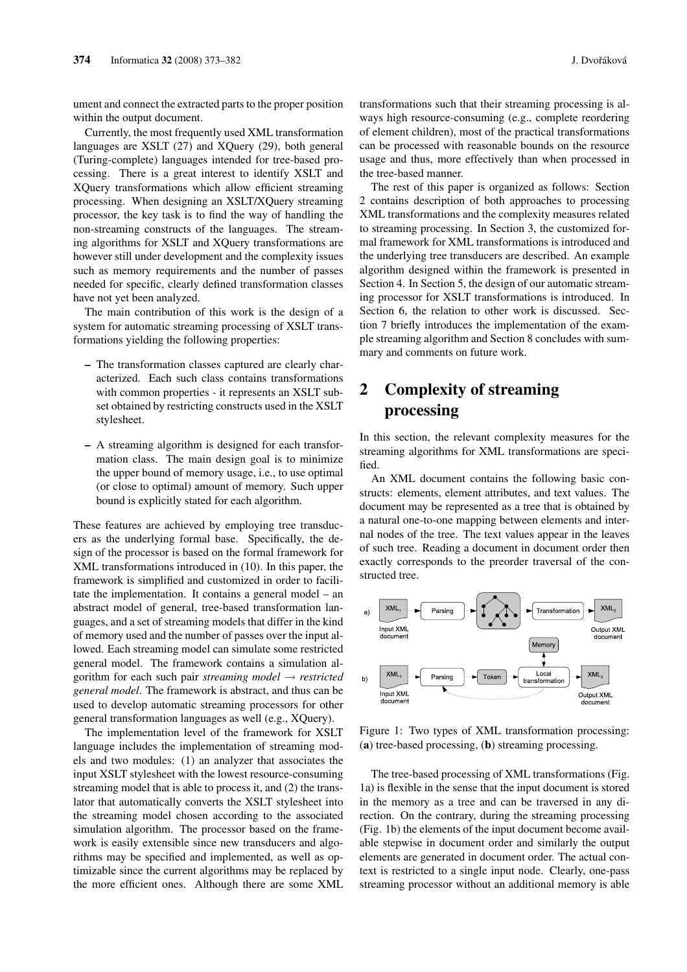ument and connect the extracted parts to the proper position within the output document.

Currently, the most frequently used XML transformation languages are XSLT (27) and XQuery (29), both general (Turing-complete) languages intended for tree-based processing. There is a great interest to identify XSLT and XOuery transformations which allow efficient streaming processing. When designing an XSLT/XQuery streaming processor, the key task is to find the way of handling the non-streaming constructs of the languages. The streaming algorithms for XSLT and XQuery transformations are however still under development and the complexity issues such as memory requirements and the number of passes needed for specific, clearly defined transformation classes have not yet been analyzed.

The main contribution of this work is the design of a system for automatic streaming processing of XSLT transformations yielding the following properties:

- The transformation classes captured are clearly characterized. Each such class contains transformations with common properties - it represents an XSLT subset obtained by restricting constructs used in the XSLT stylesheet.
- A streaming algorithm is designed for each transformation class. The main design goal is to minimize the upper bound of memory usage, i.e., to use optimal (or close to optimal) amount of memory. Such upper bound is explicitly stated for each algorithm.

These features are achieved by employing tree transducers as the underlying formal base. Specifically, the design of the processor is based on the formal framework for XML transformations introduced in (10). In this paper, the framework is simplified and customized in order to facilitate the implementation. It contains a general model  $-$  an abstract model of general, tree-based transformation languages, and a set of streaming models that differ in the kind of memory used and the number of passes over the input allowed. Each streaming model can simulate some restricted general model. The framework contains a simulation algorithm for each such pair *streaming model*  $\rightarrow$  *restricted* general model. The framework is abstract, and thus can be used to develop automatic streaming processors for other general transformation languages as well (e.g., XQuery).

The implementation level of the framework for XSLT language includes the implementation of streaming models and two modules: (1) an analyzer that associates the input XSLT stylesheet with the lowest resource-consuming streaming model that is able to process it, and (2) the translator that automatically converts the XSLT stylesheet into the streaming model chosen according to the associated simulation algorithm. The processor based on the framework is easily extensible since new transducers and algorithms may be specified and implemented, as well as optimizable since the current algorithms may be replaced by the more efficient ones. Although there are some XML transformations such that their streaming processing is always high resource-consuming (e.g., complete reordering of element children), most of the practical transformations can be processed with reasonable bounds on the resource usage and thus, more effectively than when processed in the tree-based manner.

The rest of this paper is organized as follows: Section 2 contains description of both approaches to processing XML transformations and the complexity measures related to streaming processing. In Section 3, the customized formal framework for XML transformations is introduced and the underlying tree transducers are described. An example algorithm designed within the framework is presented in Section 4. In Section 5, the design of our automatic streaming processor for XSLT transformations is introduced. In Section 6, the relation to other work is discussed. Section 7 briefly introduces the implementation of the example streaming algorithm and Section 8 concludes with summary and comments on future work.

## $\overline{2}$ **Complexity of streaming** processing

In this section, the relevant complexity measures for the streaming algorithms for XML transformations are specified.

An XML document contains the following basic constructs: elements, element attributes, and text values. The document may be represented as a tree that is obtained by a natural one-to-one mapping between elements and internal nodes of the tree. The text values appear in the leaves of such tree. Reading a document in document order then exactly corresponds to the preorder traversal of the constructed tree.



Figure 1: Two types of XML transformation processing: (a) tree-based processing, (b) streaming processing.

The tree-based processing of XML transformations (Fig. 1a) is flexible in the sense that the input document is stored in the memory as a tree and can be traversed in any direction. On the contrary, during the streaming processing (Fig. 1b) the elements of the input document become available stepwise in document order and similarly the output elements are generated in document order. The actual context is restricted to a single input node. Clearly, one-pass streaming processor without an additional memory is able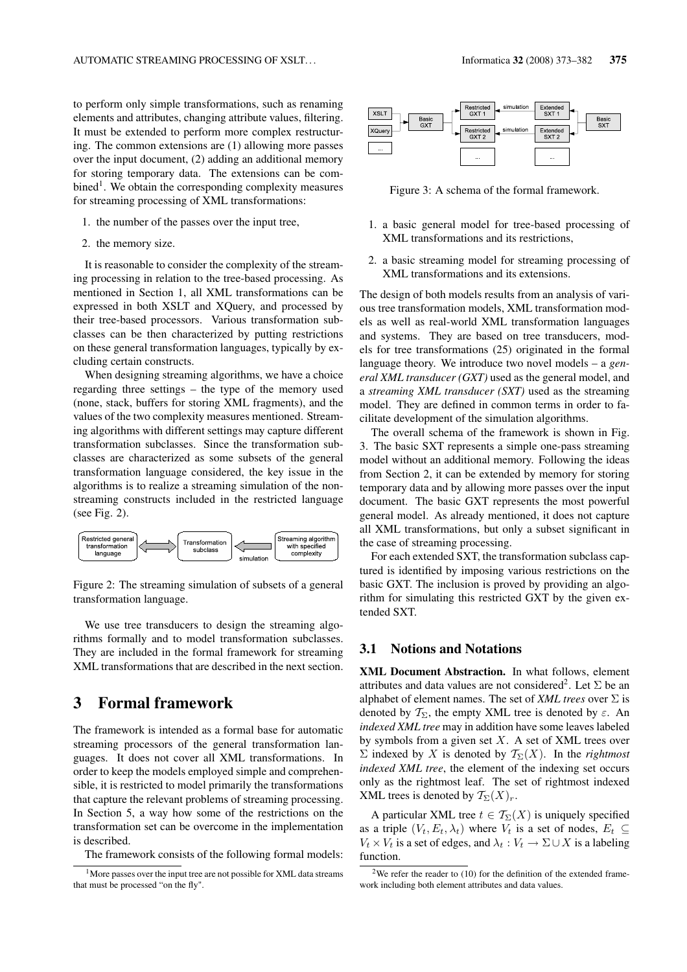to perform only simple transformations, such as renaming elements and attributes, changing attribute values, filtering. It must be extended to perform more complex restructuring. The common extensions are (1) allowing more passes over the input document, (2) adding an additional memory for storing temporary data. The extensions can be com- $\beta$  bined<sup>1</sup>. We obtain the corresponding complexity measures for streaming processing of XML transformations:

- 1. the number of the passes over the input tree,
- 2. the memory size.

It is reasonable to consider the complexity of the streaming processing in relation to the tree-based processing. As mentioned in Section 1, all XML transformations can be expressed in both XSLT and XQuery, and processed by their tree-based processors. Various transformation subclasses can be then characterized by putting restrictions on these general transformation languages, typically by excluding certain constructs.

When designing streaming algorithms, we have a choice regarding three settings – the type of the memory used (none, stack, buffers for storing XML fragments), and the values of the two complexity measures mentioned. Streaming algorithms with different settings may capture different transformation subclasses. Since the transformation subclasses are characterized as some subsets of the general transformation language considered, the key issue in the algorithms is to realize a streaming simulation of the nonstreaming constructs included in the restricted language (see Fig.  $2$ ).



Figure 2: The streaming simulation of subsets of a general transformation language.

We use tree transducers to design the streaming algorithms formally and to model transformation subclasses. They are included in the formal framework for streaming XML transformations that are described in the next section.

#### 3 **Formal framework**

The framework is intended as a formal base for automatic streaming processors of the general transformation languages. It does not cover all XML transformations. In order to keep the models employed simple and comprehensible, it is restricted to model primarily the transformations that capture the relevant problems of streaming processing. In Section 5, a way how some of the restrictions on the transformation set can be overcome in the implementation is described.

The framework consists of the following formal models:



Figure 3: A schema of the formal framework.

- 1. a basic general model for tree-based processing of XML transformations and its restrictions,
- 2. a basic streaming model for streaming processing of XML transformations and its extensions.

The design of both models results from an analysis of various tree transformation models, XML transformation models as well as real-world XML transformation languages and systems. They are based on tree transducers, models for tree transformations (25) originated in the formal language theory. We introduce two novel models – a general XML transducer (GXT) used as the general model, and a streaming XML transducer (SXT) used as the streaming model. They are defined in common terms in order to facilitate development of the simulation algorithms.

The overall schema of the framework is shown in Fig. 3. The basic SXT represents a simple one-pass streaming model without an additional memory. Following the ideas from Section 2, it can be extended by memory for storing temporary data and by allowing more passes over the input document. The basic GXT represents the most powerful general model. As already mentioned, it does not capture all XML transformations, but only a subset significant in the case of streaming processing.

For each extended SXT, the transformation subclass captured is identified by imposing various restrictions on the basic GXT. The inclusion is proved by providing an algorithm for simulating this restricted GXT by the given extended SXT.

#### $3.1$ **Notions and Notations**

XML Document Abstraction. In what follows, element attributes and data values are not considered<sup>2</sup>. Let  $\Sigma$  be an alphabet of element names. The set of *XML trees* over  $\Sigma$  is denoted by  $T_{\Sigma}$ , the empty XML tree is denoted by  $\varepsilon$ . An indexed XML tree may in addition have some leaves labeled by symbols from a given set  $X$ . A set of XML trees over  $\Sigma$  indexed by X is denoted by  $\mathcal{T}_{\Sigma}(X)$ . In the *rightmost* indexed XML tree, the element of the indexing set occurs only as the rightmost leaf. The set of rightmost indexed XML trees is denoted by  $\mathcal{T}_{\Sigma}(X)_r$ .

A particular XML tree  $t \in T_{\Sigma}(X)$  is uniquely specified as a triple  $(V_t, E_t, \lambda_t)$  where  $V_t$  is a set of nodes,  $E_t \subseteq$  $V_t \times V_t$  is a set of edges, and  $\lambda_t : V_t \to \Sigma \cup X$  is a labeling function.

<sup>&</sup>lt;sup>1</sup>More passes over the input tree are not possible for XML data streams that must be processed "on the fly".

<sup>&</sup>lt;sup>2</sup>We refer the reader to  $(10)$  for the definition of the extended framework including both element attributes and data values.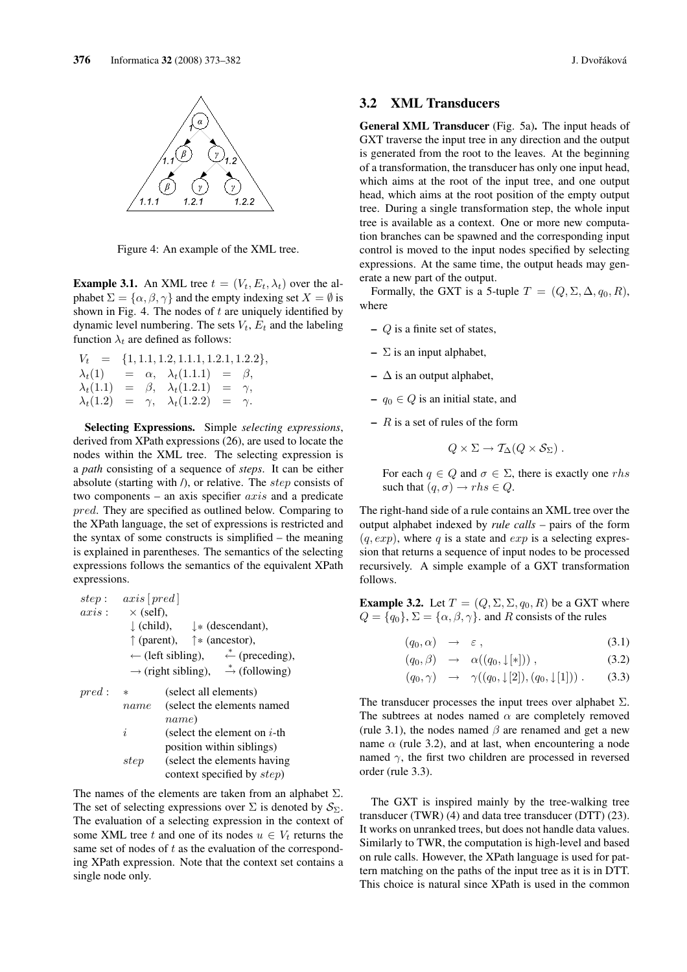

Figure 4: An example of the XML tree.

**Example 3.1.** An XML tree  $t = (V_t, E_t, \lambda_t)$  over the alphabet  $\Sigma = {\alpha, \beta, \gamma}$  and the empty indexing set  $X = \emptyset$  is shown in Fig. 4. The nodes of  $t$  are uniquely identified by dynamic level numbering. The sets  $V_t$ ,  $E_t$  and the labeling function  $\lambda_t$  are defined as follows:

$$
V_t = \{1, 1.1, 1.2, 1.1.1, 1.2.1, 1.2.2\}
$$
  
\n
$$
\lambda_t(1) = \alpha, \quad \lambda_t(1.1.1) = \beta,
$$
  
\n
$$
\lambda_t(1.1) = \beta, \quad \lambda_t(1.2.1) = \gamma,
$$
  
\n
$$
\lambda_t(1.2) = \gamma, \quad \lambda_t(1.2.2) = \gamma.
$$

**Selecting Expressions.** Simple selecting expressions, derived from XPath expressions (26), are used to locate the nodes within the XML tree. The selecting expression is a *path* consisting of a sequence of *steps*. It can be either absolute (starting with  $\ell$ ), or relative. The step consists of two components – an axis specifier  $axis$  and a predicate pred. They are specified as outlined below. Comparing to the XPath language, the set of expressions is restricted and the syntax of some constructs is simplified  $-$  the meaning is explained in parentheses. The semantics of the selecting expressions follows the semantics of the equivalent XPath expressions.

| step :                                                                                                                                                                                                                                                                  | $axis$ [pred] |
|-------------------------------------------------------------------------------------------------------------------------------------------------------------------------------------------------------------------------------------------------------------------------|---------------|
| $axis$ : $\times$ (self),<br>} (child), $\downarrow$ * (descendant),<br>$\uparrow$ (parent), $\uparrow$ * (ancestor),<br>$\leftarrow$ (left sibling), $\stackrel{*}{\leftarrow}$ (preceding),<br>$\rightarrow$ (right sibling), $\stackrel{*}{\rightarrow}$ (following) |               |
| $pred$ : * (select all elements)<br>name (select the elements named<br>name)<br>i (select the element on <i>i</i> -th<br>position within siblings)<br>step (select the elements having<br>context specified by <i>sten</i> )                                            |               |

The names of the elements are taken from an alphabet  $\Sigma$ . The set of selecting expressions over  $\Sigma$  is denoted by  $S_{\Sigma}$ . The evaluation of a selecting expression in the context of some XML tree t and one of its nodes  $u \in V_t$  returns the same set of nodes of  $t$  as the evaluation of the corresponding XPath expression. Note that the context set contains a single node only.

#### **XML Transducers**  $3.2$

**General XML Transducer** (Fig. 5a). The input heads of GXT traverse the input tree in any direction and the output is generated from the root to the leaves. At the beginning of a transformation, the transducer has only one input head, which aims at the root of the input tree, and one output head, which aims at the root position of the empty output tree. During a single transformation step, the whole input tree is available as a context. One or more new computation branches can be spawned and the corresponding input control is moved to the input nodes specified by selecting expressions. At the same time, the output heads may generate a new part of the output.

Formally, the GXT is a 5-tuple  $T = (Q, \Sigma, \Delta, q_0, R)$ , where

- $-Q$  is a finite set of states,
- $\Sigma$  is an input alphabet,
- $-\Delta$  is an output alphabet.
- $-a_0 \in Q$  is an initial state, and
- $R$  is a set of rules of the form

$$
Q \times \Sigma \to T_{\Delta}(Q \times S_{\Sigma}).
$$

For each  $q \in Q$  and  $\sigma \in \Sigma$ , there is exactly one rhs such that  $(q, \sigma) \rightarrow rhs \in Q$ .

The right-hand side of a rule contains an XML tree over the output alphabet indexed by *rule calls* – pairs of the form  $(q, exp)$ , where q is a state and  $exp$  is a selecting expression that returns a sequence of input nodes to be processed recursively. A simple example of a GXT transformation follows.

**Example 3.2.** Let  $T = (Q, \Sigma, \Sigma, q_0, R)$  be a GXT where  $Q = \{q_0\}, \Sigma = \{\alpha, \beta, \gamma\}.$  and R consists of the rules

$$
(q_0, \alpha) \rightarrow \varepsilon, \qquad (3.1)
$$

$$
(q_0, \beta) \rightarrow \alpha((q_0, \downarrow [\ast])) , \qquad (3.2)
$$

$$
(q_0, \gamma) \rightarrow \gamma((q_0, \downarrow[2]), (q_0, \downarrow[1]))
$$
. (3.3)

The transducer processes the input trees over alphabet  $\Sigma$ . The subtrees at nodes named  $\alpha$  are completely removed (rule 3.1), the nodes named  $\beta$  are renamed and get a new name  $\alpha$  (rule 3.2), and at last, when encountering a node named  $\gamma$ , the first two children are processed in reversed order (rule 3.3).

The GXT is inspired mainly by the tree-walking tree transducer (TWR) (4) and data tree transducer (DTT) (23). It works on unranked trees, but does not handle data values. Similarly to TWR, the computation is high-level and based on rule calls. However, the XPath language is used for pattern matching on the paths of the input tree as it is in DTT. This choice is natural since XPath is used in the common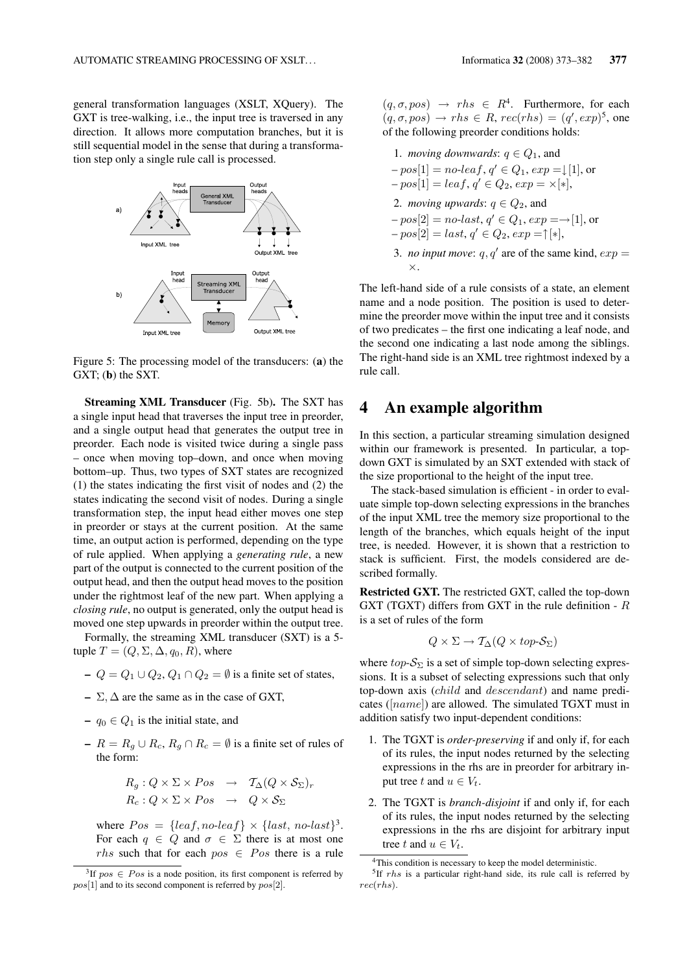general transformation languages (XSLT, XQuery). The GXT is tree-walking, i.e., the input tree is traversed in any direction. It allows more computation branches, but it is still sequential model in the sense that during a transformation step only a single rule call is processed.



Figure 5: The processing model of the transducers: (a) the  $GXT$ ; (b) the SXT.

**Streaming XML Transducer** (Fig. 5b). The SXT has a single input head that traverses the input tree in preorder, and a single output head that generates the output tree in preorder. Each node is visited twice during a single pass - once when moving top-down, and once when moving bottom-up. Thus, two types of SXT states are recognized  $(1)$  the states indicating the first visit of nodes and  $(2)$  the states indicating the second visit of nodes. During a single transformation step, the input head either moves one step in preorder or stays at the current position. At the same time, an output action is performed, depending on the type of rule applied. When applying a generating rule, a new part of the output is connected to the current position of the output head, and then the output head moves to the position under the rightmost leaf of the new part. When applying a *closing rule*, no output is generated, only the output head is moved one step upwards in preorder within the output tree.

Formally, the streaming XML transducer (SXT) is a 5tuple  $T = (Q, \Sigma, \Delta, q_0, R)$ , where

 $-Q = Q_1 \cup Q_2, Q_1 \cap Q_2 = \emptyset$  is a finite set of states,

- $-\Sigma$ ,  $\Delta$  are the same as in the case of GXT,
- $-q_0 \in Q_1$  is the initial state, and
- $-R = R_q \cup R_c$ ,  $R_q \cap R_c = \emptyset$  is a finite set of rules of the form:

$$
R_g: Q \times \Sigma \times Pos \rightarrow T_{\Delta}(Q \times S_{\Sigma})_r
$$
  

$$
R_c: Q \times \Sigma \times Pos \rightarrow Q \times S_{\Sigma}
$$

where  $Pos = \{leaf, no\text{-}leaf\} \times \{last, no\text{-}last\}^3$ . For each  $q \in Q$  and  $\sigma \in \Sigma$  there is at most one *rhs* such that for each  $pos \in Pos$  there is a rule  $(q, \sigma, pos) \rightarrow rhs \in R^4$ . Furthermore, for each  $(q, \sigma, pos) \rightarrow rhs \in R$ ,  $rec(rhs) = (q', exp)^5$ , one of the following preorder conditions holds:

1. moving downwards: 
$$
q \in Q_1
$$
, and  
\n $-pos[1] = no\text{-}leaf, q' \in Q_1, exp = \downarrow[1]$ , or  
\n $-pos[1] = leaf, q' \in Q_2, exp = \times[\ast]$ ,  
\n2. moving upwards:  $q \in Q_2$ , and  
\n $-pos[2] = no\text{-}last, q' \in Q_1, exp = \rightarrow[1]$ , or  
\n $-pos[2] = last, q' \in Q_2, exp = \uparrow[\ast]$ ,  
\n3. no input move:  $q, q'$  are of the same kind,  $exp = \times$ .

The left-hand side of a rule consists of a state, an element name and a node position. The position is used to determine the preorder move within the input tree and it consists of two predicates – the first one indicating a leaf node, and the second one indicating a last node among the siblings. The right-hand side is an XML tree rightmost indexed by a rule call.

#### 4 An example algorithm

 $\mathcal{L}$  $\mathbb{R}^2$ 

In this section, a particular streaming simulation designed within our framework is presented. In particular, a topdown GXT is simulated by an SXT extended with stack of the size proportional to the height of the input tree.

The stack-based simulation is efficient - in order to evaluate simple top-down selecting expressions in the branches of the input XML tree the memory size proportional to the length of the branches, which equals height of the input tree, is needed. However, it is shown that a restriction to stack is sufficient. First, the models considered are described formally.

**Restricted GXT.** The restricted GXT, called the top-down GXT (TGXT) differs from GXT in the rule definition -  $R$ is a set of rules of the form

$$
Q \times \Sigma \to \mathcal{T}_{\Delta}(Q \times top\text{-}\mathcal{S}_{\Sigma})
$$

where  $top\text{-}\mathcal{S}_{\Sigma}$  is a set of simple top-down selecting expressions. It is a subset of selecting expressions such that only top-down axis (*child* and *descendant*) and name predicates ( $[name]$ ) are allowed. The simulated TGXT must in addition satisfy two input-dependent conditions:

- 1. The TGXT is *order-preserving* if and only if, for each of its rules, the input nodes returned by the selecting expressions in the rhs are in preorder for arbitrary input tree t and  $u \in V_t$ .
- 2. The TGXT is *branch-disjoint* if and only if, for each of its rules, the input nodes returned by the selecting expressions in the rhs are disjoint for arbitrary input tree t and  $u \in V_t$ .

<sup>&</sup>lt;sup>3</sup>If  $pos \in Pos$  is a node position, its first component is referred by  $pos[1]$  and to its second component is referred by  $pos[2]$ .

<sup>&</sup>lt;sup>4</sup>This condition is necessary to keep the model deterministic.

 $5$ If  $rhs$  is a particular right-hand side, its rule call is referred by  $rec(rhs)$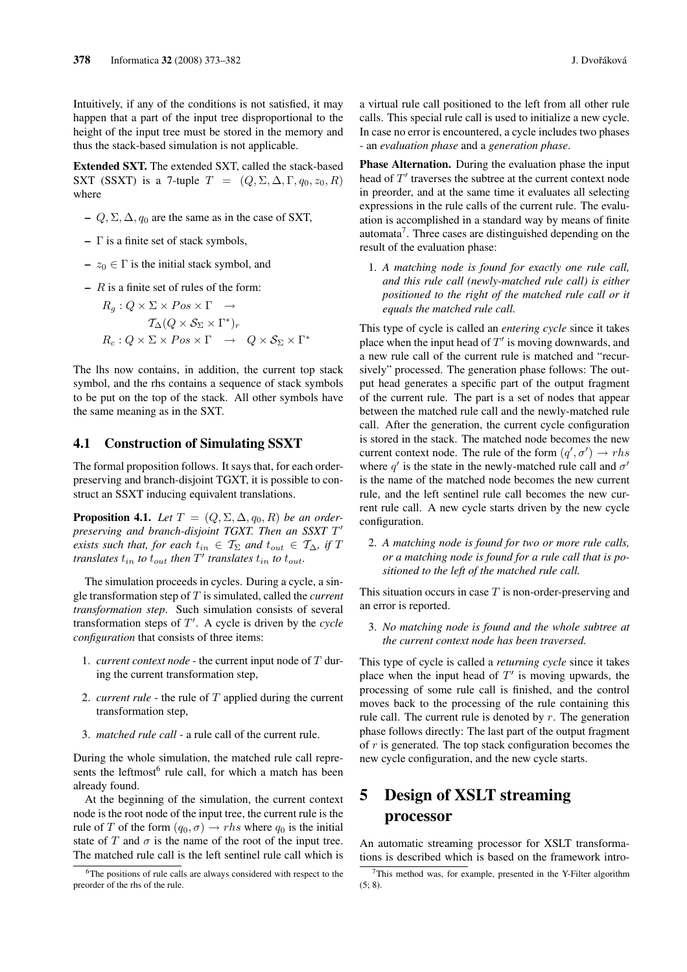Intuitively, if any of the conditions is not satisfied, it may happen that a part of the input tree disproportional to the height of the input tree must be stored in the memory and thus the stack-based simulation is not applicable.

Extended SXT. The extended SXT, called the stack-based SXT (SSXT) is a 7-tuple  $T = (Q, \Sigma, \Delta, \Gamma, q_0, z_0, R)$ where

- $-Q$ ,  $\Sigma$ ,  $\Delta$ ,  $q_0$  are the same as in the case of SXT,
- $\Gamma$  is a finite set of stack symbols,
- $z_0 \in \Gamma$  is the initial stack symbol, and
- $R$  is a finite set of rules of the form:

$$
R_g: Q \times \Sigma \times Pos \times \Gamma \rightarrow
$$
  
\n
$$
T_{\Delta}(Q \times S_{\Sigma} \times \Gamma^*)_r
$$
  
\n
$$
R_c: Q \times \Sigma \times Pos \times \Gamma \rightarrow Q \times S_{\Sigma} \times \Gamma^*
$$

The lhs now contains, in addition, the current top stack symbol, and the rhs contains a sequence of stack symbols to be put on the top of the stack. All other symbols have the same meaning as in the SXT.

#### **Construction of Simulating SSXT** 4.1

The formal proposition follows. It says that, for each orderpreserving and branch-disjoint TGXT, it is possible to construct an SSXT inducing equivalent translations.

**Proposition 4.1.** Let  $T = (Q, \Sigma, \Delta, q_0, R)$  be an orderpreserving and branch-disjoint TGXT. Then an SSXT T' exists such that, for each  $t_{in} \in \mathcal{T}_{\Sigma}$  and  $t_{out} \in \mathcal{T}_{\Delta}$ , if T translates  $t_{in}$  to  $t_{out}$  then  $T'$  translates  $t_{in}$  to  $t_{out}$ .

The simulation proceeds in cycles. During a cycle, a single transformation step of  $T$  is simulated, called the *current* transformation step. Such simulation consists of several transformation steps of  $T'$ . A cycle is driven by the cycle configuration that consists of three items:

- 1. *current context node* the current input node of  $T$  during the current transformation step,
- 2. *current rule* the rule of  $T$  applied during the current transformation step,
- 3. *matched rule call* a rule call of the current rule.

During the whole simulation, the matched rule call represents the leftmost<sup>6</sup> rule call, for which a match has been already found.

At the beginning of the simulation, the current context node is the root node of the input tree, the current rule is the rule of T of the form  $(q_0, \sigma) \rightarrow rhs$  where  $q_0$  is the initial state of T and  $\sigma$  is the name of the root of the input tree. The matched rule call is the left sentinel rule call which is

a virtual rule call positioned to the left from all other rule calls. This special rule call is used to initialize a new cycle. In case no error is encountered, a cycle includes two phases - an evaluation phase and a generation phase.

**Phase Alternation.** During the evaluation phase the input head of  $T'$  traverses the subtree at the current context node in preorder, and at the same time it evaluates all selecting expressions in the rule calls of the current rule. The evaluation is accomplished in a standard way by means of finite  $automata<sup>7</sup>$ . Three cases are distinguished depending on the result of the evaluation phase:

1. A matching node is found for exactly one rule call, and this rule call (newly-matched rule call) is either positioned to the right of the matched rule call or it equals the matched rule call.

This type of cycle is called an *entering cycle* since it takes place when the input head of  $T'$  is moving downwards, and a new rule call of the current rule is matched and "recursively" processed. The generation phase follows: The output head generates a specific part of the output fragment of the current rule. The part is a set of nodes that appear between the matched rule call and the newly-matched rule call. After the generation, the current cycle configuration is stored in the stack. The matched node becomes the new current context node. The rule of the form  $(q', \sigma') \rightarrow rhs$ where q' is the state in the newly-matched rule call and  $\sigma'$ is the name of the matched node becomes the new current rule, and the left sentinel rule call becomes the new current rule call. A new cycle starts driven by the new cycle configuration.

2. A matching node is found for two or more rule calls, or a matching node is found for a rule call that is positioned to the left of the matched rule call.

This situation occurs in case  $T$  is non-order-preserving and an error is reported.

3. No matching node is found and the whole subtree at the current context node has been traversed.

This type of cycle is called a returning cycle since it takes place when the input head of  $T'$  is moving upwards, the processing of some rule call is finished, and the control moves back to the processing of the rule containing this rule call. The current rule is denoted by  $r$ . The generation phase follows directly: The last part of the output fragment of  $r$  is generated. The top stack configuration becomes the new cycle configuration, and the new cycle starts.

### 5 **Design of XSLT streaming** processor

An automatic streaming processor for XSLT transformations is described which is based on the framework intro-

<sup>&</sup>lt;sup>6</sup>The positions of rule calls are always considered with respect to the preorder of the rhs of the rule.

<sup>&</sup>lt;sup>7</sup>This method was, for example, presented in the Y-Filter algorithm  $(5:8)$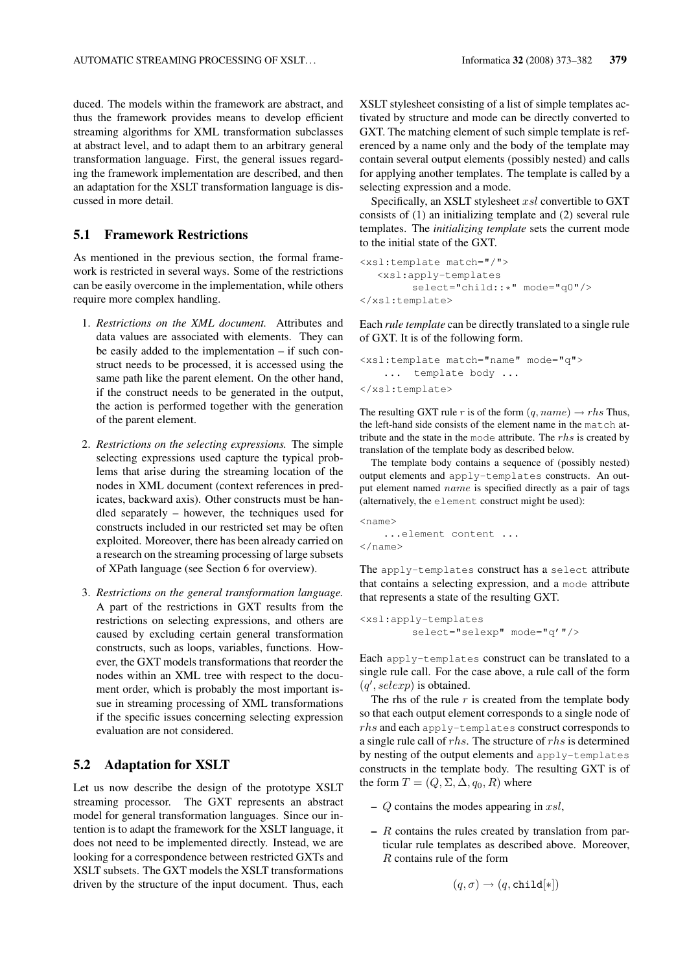duced. The models within the framework are abstract, and thus the framework provides means to develop efficient streaming algorithms for XML transformation subclasses at abstract level, and to adapt them to an arbitrary general transformation language. First, the general issues regarding the framework implementation are described, and then an adaptation for the XSLT transformation language is discussed in more detail.

#### $5.1$ **Framework Restrictions**

As mentioned in the previous section, the formal framework is restricted in several ways. Some of the restrictions can be easily overcome in the implementation, while others require more complex handling.

- 1. Restrictions on the XML document. Attributes and data values are associated with elements. They can be easily added to the implementation  $-$  if such construct needs to be processed, it is accessed using the same path like the parent element. On the other hand, if the construct needs to be generated in the output, the action is performed together with the generation of the parent element.
- 2. Restrictions on the selecting expressions. The simple selecting expressions used capture the typical problems that arise during the streaming location of the nodes in XML document (context references in predicates, backward axis). Other constructs must be handled separately  $-$  however, the techniques used for constructs included in our restricted set may be often exploited. Moreover, there has been already carried on a research on the streaming processing of large subsets of XPath language (see Section 6 for overview).
- 3. Restrictions on the general transformation language. A part of the restrictions in GXT results from the restrictions on selecting expressions, and others are caused by excluding certain general transformation constructs, such as loops, variables, functions. However, the GXT models transformations that reorder the nodes within an XML tree with respect to the document order, which is probably the most important issue in streaming processing of XML transformations if the specific issues concerning selecting expression evaluation are not considered.

# 5.2 Adaptation for XSLT

Let us now describe the design of the prototype XSLT streaming processor. The GXT represents an abstract model for general transformation languages. Since our intention is to adapt the framework for the XSLT language, it does not need to be implemented directly. Instead, we are looking for a correspondence between restricted GXTs and XSLT subsets. The GXT models the XSLT transformations driven by the structure of the input document. Thus, each

XSLT stylesheet consisting of a list of simple templates activated by structure and mode can be directly converted to GXT. The matching element of such simple template is referenced by a name only and the body of the template may contain several output elements (possibly nested) and calls for applying another templates. The template is called by a selecting expression and a mode.

Specifically, an XSLT stylesheet xsl convertible to GXT consists of (1) an initializing template and (2) several rule templates. The *initializing template* sets the current mode to the initial state of the GXT.

```
<xsl:template match="/">
   <xsl:apply-templates
        select="child::*" mode="q0"/>
</xsl:template>
```
Each *rule template* can be directly translated to a single rule of GXT. It is of the following form.

```
<xsl:template match="name" mode="q">
   ... template body ...
</xsl:template>
```
The resulting GXT rule r is of the form  $(q, name) \rightarrow rhs$  Thus, the left-hand side consists of the element name in the match attribute and the state in the mode attribute. The  $rhs$  is created by translation of the template body as described below.

The template body contains a sequence of (possibly nested) output elements and apply-templates constructs. An output element named name is specified directly as a pair of tags (alternatively, the element construct might be used):

```
<name>
    ... element content ...
\langle/name>
```
The apply-templates construct has a select attribute that contains a selecting expression, and a mode attribute that represents a state of the resulting GXT.

```
<xsl:apply-templates
        select="selexp" mode="q'"/>
```
Each apply-templates construct can be translated to a single rule call. For the case above, a rule call of the form  $(q',\text{selexp})$  is obtained.

The rhs of the rule  $r$  is created from the template body so that each output element corresponds to a single node of  $rhs$  and each apply-templates construct corresponds to a single rule call of  $rhs$ . The structure of  $rhs$  is determined by nesting of the output elements and apply-templates constructs in the template body. The resulting GXT is of the form  $T = (Q, \Sigma, \Delta, q_0, R)$  where

- $-Q$  contains the modes appearing in xsl,
- $-$  R contains the rules created by translation from particular rule templates as described above. Moreover,  $R$  contains rule of the form

$$
(q,\sigma)\rightarrow (q,\texttt{child}[*])
$$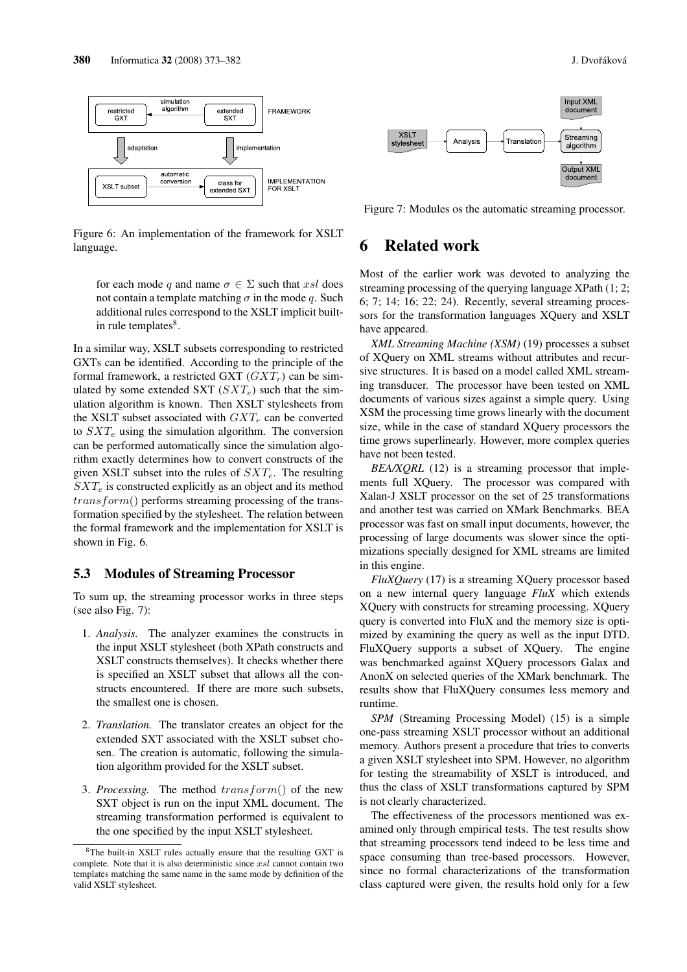

Figure 6: An implementation of the framework for XSLT language.

for each mode q and name  $\sigma \in \Sigma$  such that xsl does not contain a template matching  $\sigma$  in the mode q. Such additional rules correspond to the XSLT implicit builtin rule templates<sup>8</sup>.

In a similar way, XSLT subsets corresponding to restricted GXTs can be identified. According to the principle of the formal framework, a restricted GXT  $(GXT_r)$  can be simulated by some extended SXT  $(SXT_e)$  such that the simulation algorithm is known. Then XSLT stylesheets from the XSLT subset associated with  $GXT<sub>r</sub>$  can be converted to  $SXT_e$  using the simulation algorithm. The conversion can be performed automatically since the simulation algorithm exactly determines how to convert constructs of the given XSLT subset into the rules of  $SXT_e$ . The resulting  $SXT_e$  is constructed explicitly as an object and its method  $transform()$  performs streaming processing of the transformation specified by the stylesheet. The relation between the formal framework and the implementation for XSLT is shown in Fig. 6.

#### 5.3 **Modules of Streaming Processor**

To sum up, the streaming processor works in three steps (see also Fig.  $7$ ):

- 1. Analysis. The analyzer examines the constructs in the input XSLT stylesheet (both XPath constructs and XSLT constructs themselves). It checks whether there is specified an XSLT subset that allows all the constructs encountered. If there are more such subsets, the smallest one is chosen.
- 2. Translation. The translator creates an object for the extended SXT associated with the XSLT subset chosen. The creation is automatic, following the simulation algorithm provided for the XSLT subset.
- 3. Processing. The method transform() of the new SXT object is run on the input XML document. The streaming transformation performed is equivalent to the one specified by the input XSLT stylesheet.



Figure 7: Modules os the automatic streaming processor.

#### **Related work** 6

Most of the earlier work was devoted to analyzing the streaming processing of the querying language XPath (1, 2, 6; 7; 14; 16; 22; 24). Recently, several streaming processors for the transformation languages XQuery and XSLT have appeared.

XML Streaming Machine (XSM) (19) processes a subset of XQuery on XML streams without attributes and recursive structures. It is based on a model called XML streaming transducer. The processor have been tested on XML documents of various sizes against a simple query. Using XSM the processing time grows linearly with the document size, while in the case of standard XOuery processors the time grows superlinearly. However, more complex queries have not been tested.

 $BEA/XQRL$  (12) is a streaming processor that implements full XQuery. The processor was compared with Xalan-J XSLT processor on the set of 25 transformations and another test was carried on XMark Benchmarks. BEA processor was fast on small input documents, however, the processing of large documents was slower since the optimizations specially designed for XML streams are limited in this engine.

FluXOuery (17) is a streaming XOuery processor based on a new internal query language  $FluX$  which extends XQuery with constructs for streaming processing. XQuery query is converted into FluX and the memory size is optimized by examining the query as well as the input DTD. FluXQuery supports a subset of XQuery. The engine was benchmarked against XQuery processors Galax and AnonX on selected queries of the XMark benchmark. The results show that FluXQuery consumes less memory and runtime.

SPM (Streaming Processing Model) (15) is a simple one-pass streaming XSLT processor without an additional memory. Authors present a procedure that tries to converts a given XSLT stylesheet into SPM. However, no algorithm for testing the streamability of XSLT is introduced, and thus the class of XSLT transformations captured by SPM is not clearly characterized.

The effectiveness of the processors mentioned was examined only through empirical tests. The test results show that streaming processors tend indeed to be less time and space consuming than tree-based processors. However, since no formal characterizations of the transformation class captured were given, the results hold only for a few

<sup>&</sup>lt;sup>8</sup>The built-in XSLT rules actually ensure that the resulting GXT is complete. Note that it is also deterministic since  $xsl$  cannot contain two templates matching the same name in the same mode by definition of the valid XSLT stylesheet.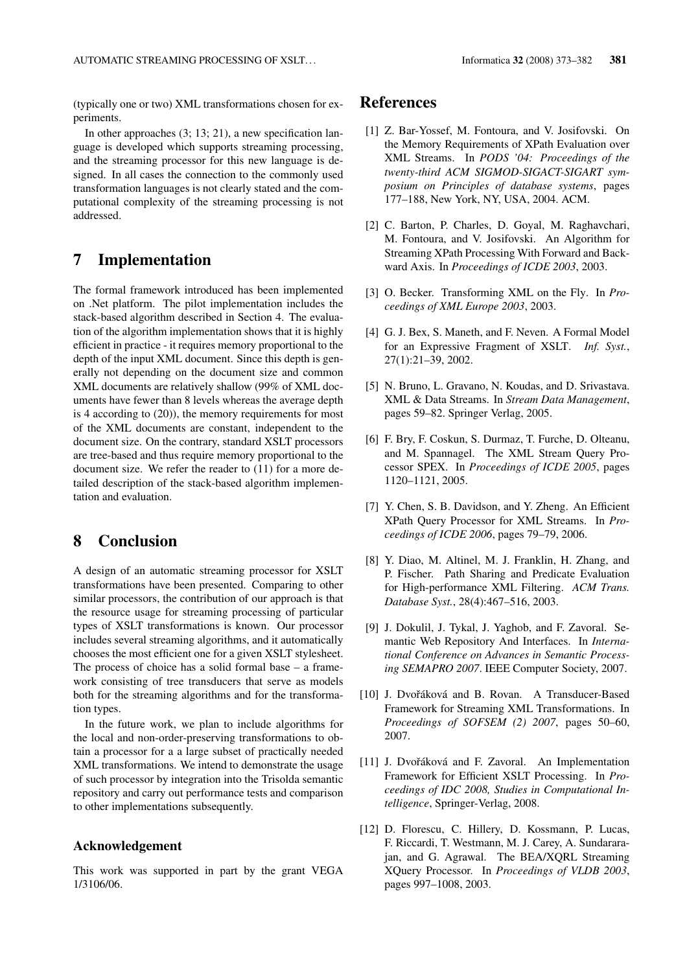(typically one or two) XML transformations chosen for experiments.

In other approaches  $(3; 13; 21)$ , a new specification language is developed which supports streaming processing, and the streaming processor for this new language is designed. In all cases the connection to the commonly used transformation languages is not clearly stated and the computational complexity of the streaming processing is not addressed.

#### 7 Implementation

The formal framework introduced has been implemented on .Net platform. The pilot implementation includes the stack-based algorithm described in Section 4. The evaluation of the algorithm implementation shows that it is highly efficient in practice - it requires memory proportional to the depth of the input XML document. Since this depth is generally not depending on the document size and common XML documents are relatively shallow (99% of XML documents have fewer than 8 levels whereas the average depth is 4 according to  $(20)$ ), the memory requirements for most of the XML documents are constant, independent to the document size. On the contrary, standard XSLT processors are tree-based and thus require memory proportional to the document size. We refer the reader to  $(11)$  for a more detailed description of the stack-based algorithm implementation and evaluation.

#### 8 **Conclusion**

A design of an automatic streaming processor for XSLT transformations have been presented. Comparing to other similar processors, the contribution of our approach is that the resource usage for streaming processing of particular types of XSLT transformations is known. Our processor includes several streaming algorithms, and it automatically chooses the most efficient one for a given XSLT stylesheet. The process of choice has a solid formal base  $-$  a framework consisting of tree transducers that serve as models both for the streaming algorithms and for the transformation types.

In the future work, we plan to include algorithms for the local and non-order-preserving transformations to obtain a processor for a a large subset of practically needed XML transformations. We intend to demonstrate the usage of such processor by integration into the Trisolda semantic repository and carry out performance tests and comparison to other implementations subsequently.

## **Acknowledgement**

This work was supported in part by the grant VEGA 1/3106/06.

# **References**

- [1] Z. Bar-Yossef, M. Fontoura, and V. Josifovski. On the Memory Requirements of XPath Evaluation over XML Streams. In PODS '04: Proceedings of the twenty-third ACM SIGMOD-SIGACT-SIGART symposium on Principles of database systems, pages 177-188, New York, NY, USA, 2004. ACM.
- [2] C. Barton, P. Charles, D. Goyal, M. Raghavchari, M. Fontoura, and V. Josifovski. An Algorithm for Streaming XPath Processing With Forward and Backward Axis. In Proceedings of ICDE 2003, 2003.
- [3] O. Becker. Transforming XML on the Fly. In Proceedings of XML Europe 2003, 2003.
- [4] G. J. Bex, S. Maneth, and F. Neven. A Formal Model for an Expressive Fragment of XSLT. Inf. Syst., 27(1):21-39, 2002.
- [5] N. Bruno, L. Gravano, N. Koudas, and D. Srivastava. XML & Data Streams. In Stream Data Management, pages 59–82. Springer Verlag, 2005.
- [6] F. Bry, F. Coskun, S. Durmaz, T. Furche, D. Olteanu, and M. Spannagel. The XML Stream Query Processor SPEX. In Proceedings of ICDE 2005, pages 1120-1121, 2005.
- [7] Y. Chen, S. B. Davidson, and Y. Zheng. An Efficient XPath Query Processor for XML Streams. In Proceedings of ICDE 2006, pages 79-79, 2006.
- [8] Y. Diao, M. Altinel, M. J. Franklin, H. Zhang, and P. Fischer. Path Sharing and Predicate Evaluation for High-performance XML Filtering. ACM Trans. Database Syst., 28(4):467-516, 2003.
- [9] J. Dokulil, J. Tykal, J. Yaghob, and F. Zavoral. Semantic Web Repository And Interfaces. In International Conference on Advances in Semantic Processing SEMAPRO 2007. IEEE Computer Society, 2007.
- [10] J. Dvořáková and B. Rovan. A Transducer-Based Framework for Streaming XML Transformations. In Proceedings of SOFSEM (2) 2007, pages 50-60, 2007.
- [11] J. Dvořáková and F. Zavoral. An Implementation Framework for Efficient XSLT Processing. In Proceedings of IDC 2008, Studies in Computational In*telligence*, Springer-Verlag, 2008.
- [12] D. Florescu, C. Hillery, D. Kossmann, P. Lucas, F. Riccardi, T. Westmann, M. J. Carey, A. Sundararajan, and G. Agrawal. The BEA/XQRL Streaming XQuery Processor. In Proceedings of VLDB 2003, pages 997-1008, 2003.